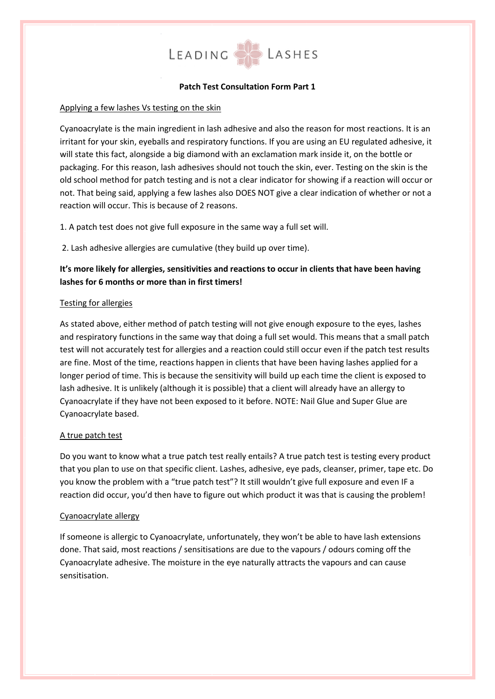

## **Patch Test Consultation Form Part 1**

#### Applying a few lashes Vs testing on the skin

Cyanoacrylate is the main ingredient in lash adhesive and also the reason for most reactions. It is an irritant for your skin, eyeballs and respiratory functions. If you are using an EU regulated adhesive, it will state this fact, alongside a big diamond with an exclamation mark inside it, on the bottle or packaging. For this reason, lash adhesives should not touch the skin, ever. Testing on the skin is the old school method for patch testing and is not a clear indicator for showing if a reaction will occur or not. That being said, applying a few lashes also DOES NOT give a clear indication of whether or not a reaction will occur. This is because of 2 reasons.

1. A patch test does not give full exposure in the same way a full set will.

2. Lash adhesive allergies are cumulative (they build up over time).

# **It's more likely for allergies, sensitivities and reactions to occur in clients that have been having lashes for 6 months or more than in first timers!**

#### Testing for allergies

As stated above, either method of patch testing will not give enough exposure to the eyes, lashes and respiratory functions in the same way that doing a full set would. This means that a small patch test will not accurately test for allergies and a reaction could still occur even if the patch test results are fine. Most of the time, reactions happen in clients that have been having lashes applied for a longer period of time. This is because the sensitivity will build up each time the client is exposed to lash adhesive. It is unlikely (although it is possible) that a client will already have an allergy to Cyanoacrylate if they have not been exposed to it before. NOTE: Nail Glue and Super Glue are Cyanoacrylate based.

## A true patch test

Do you want to know what a true patch test really entails? A true patch test is testing every product that you plan to use on that specific client. Lashes, adhesive, eye pads, cleanser, primer, tape etc. Do you know the problem with a "true patch test"? It still wouldn't give full exposure and even IF a reaction did occur, you'd then have to figure out which product it was that is causing the problem!

#### Cyanoacrylate allergy

If someone is allergic to Cyanoacrylate, unfortunately, they won't be able to have lash extensions done. That said, most reactions / sensitisations are due to the vapours / odours coming off the Cyanoacrylate adhesive. The moisture in the eye naturally attracts the vapours and can cause sensitisation.